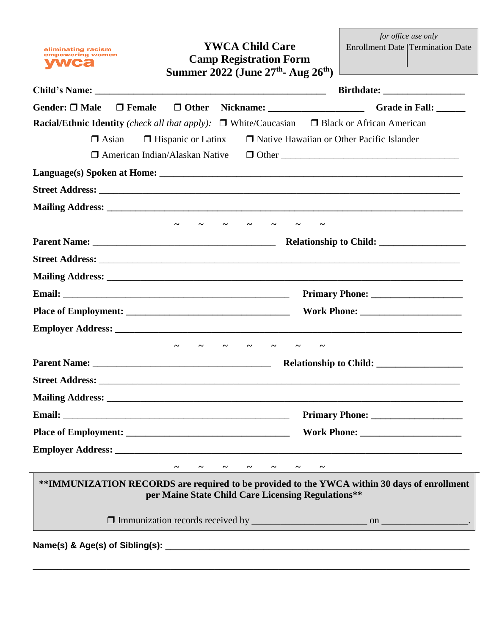empowering women **Camp Registration Form vwca Summer 2022 (June 27th - Aug 26th) Child's Name: \_\_\_\_\_\_\_\_\_\_\_\_\_\_\_\_\_\_\_\_\_\_\_\_\_\_\_\_\_\_\_\_\_\_\_\_\_\_\_\_\_\_\_\_\_\_\_\_ Birthdate: \_\_\_\_\_\_\_\_\_\_\_\_\_\_\_\_\_** Gender: □ Male □ Female □ Other Nickname: \_\_\_\_\_\_\_\_\_\_\_\_\_\_\_\_\_\_\_\_\_\_\_\_\_Grade in Fall: \_\_\_\_\_\_ **Racial/Ethnic Identity** *(check all that apply)*: □ White/Caucasian □ Black or African American  $\Box$  Asian  $\Box$  Hispanic or Latinx  $\Box$  Native Hawaiian or Other Pacific Islander American Indian/Alaskan Native Other \_\_\_\_\_\_\_\_\_\_\_\_\_\_\_\_\_\_\_\_\_\_\_\_\_\_\_\_\_\_\_\_\_\_\_\_\_ Language(s) Spoken at Home:  $\bf{Street Address:}$ **Mailing Address: \_\_\_\_\_\_\_\_\_\_\_\_\_\_\_\_\_\_\_\_\_\_\_\_\_\_\_\_\_\_\_\_\_\_\_\_\_\_\_\_\_\_\_\_\_\_\_\_\_\_\_\_\_\_\_\_\_\_\_\_\_\_\_\_\_\_\_\_\_\_\_\_\_\_ ~ ~ ~ ~ ~ ~ ~ Parent Name:** \_\_\_\_\_\_\_\_\_\_\_\_\_\_\_\_\_\_\_\_\_\_\_\_\_\_\_\_\_\_\_\_\_\_\_\_\_\_ **Relationship to Child: \_\_\_\_\_\_\_\_\_\_\_\_\_\_\_\_\_\_ Street Address:**  $\blacksquare$ **Mailing Address:** \_\_\_\_\_\_\_\_\_\_\_\_\_\_\_\_\_\_\_\_\_\_\_\_\_\_\_\_\_\_\_\_\_\_\_\_\_\_\_\_\_\_\_\_\_\_\_\_\_\_\_\_\_\_\_\_\_\_\_\_\_\_\_\_\_\_\_\_\_\_\_\_\_\_ **Email:** \_\_\_\_\_\_\_\_\_\_\_\_\_\_\_\_\_\_\_\_\_\_\_\_\_\_\_\_\_\_\_\_\_\_\_\_\_\_\_\_\_\_\_\_\_\_\_ **Primary Phone: \_\_\_\_\_\_\_\_\_\_\_\_\_\_\_\_\_\_\_ Place of Employment: \_\_\_\_\_\_\_\_\_\_\_\_\_\_\_\_\_\_\_\_\_\_\_\_\_\_\_\_\_\_\_\_\_\_ Work Phone: \_\_\_\_\_\_\_\_\_\_\_\_\_\_\_\_\_\_\_\_\_ Employer Address: ~ ~ ~ ~ ~ ~ ~ Parent Name:** \_\_\_\_\_\_\_\_\_\_\_\_\_\_\_\_\_\_\_\_\_\_\_\_\_\_\_\_\_\_\_\_\_\_\_\_\_ **Relationship to Child: \_\_\_\_\_\_\_\_\_\_\_\_\_\_\_\_\_\_ Street Address:** \_\_\_\_\_\_\_\_\_\_\_\_\_\_\_\_\_\_\_\_\_\_\_\_\_\_\_\_\_\_\_\_\_\_\_\_\_\_\_\_\_\_\_\_\_\_\_\_\_\_\_\_\_\_\_\_\_\_\_\_\_\_\_\_\_\_\_\_\_\_\_\_\_\_\_ **Mailing Address:**  $\blacksquare$ **Email:** \_\_\_\_\_\_\_\_\_\_\_\_\_\_\_\_\_\_\_\_\_\_\_\_\_\_\_\_\_\_\_\_\_\_\_\_\_\_\_\_\_\_\_\_\_\_\_ **Primary Phone: \_\_\_\_\_\_\_\_\_\_\_\_\_\_\_\_\_\_\_ Place of Employment:**  $\blacksquare$  **Work Phone:**  $\blacksquare$ **Employer Address: \_\_\_\_\_\_\_\_\_\_\_\_\_\_\_\_\_\_\_\_\_\_\_\_\_\_\_\_\_\_\_\_\_\_\_\_\_\_\_\_\_\_\_\_\_\_\_\_\_\_\_\_\_\_\_\_\_\_\_\_\_\_\_\_\_\_\_\_\_\_\_\_ ~ ~ ~ ~ ~ ~ ~ \*\*IMMUNIZATION RECORDS are required to be provided to the YWCA within 30 days of enrollment per Maine State Child Care Licensing Regulations\*\*** Immunization records received by \_\_\_\_\_\_\_\_\_\_\_\_\_\_\_\_\_\_\_\_\_\_\_\_ on \_\_\_\_\_\_\_\_\_\_\_\_\_\_\_\_\_\_.

\_\_\_\_\_\_\_\_\_\_\_\_\_\_\_\_\_\_\_\_\_\_\_\_\_\_\_\_\_\_\_\_\_\_\_\_\_\_\_\_\_\_\_\_\_\_\_\_\_\_\_\_\_\_\_\_\_\_\_\_\_\_\_\_\_\_\_\_\_\_\_\_\_\_\_\_\_\_\_\_\_\_\_\_\_\_\_\_\_

**YWCA Child Care**

*for office use only* Enrollment Date Termination Date

**Name(s) & Age(s) of Sibling(s):** *l* 

eliminating racism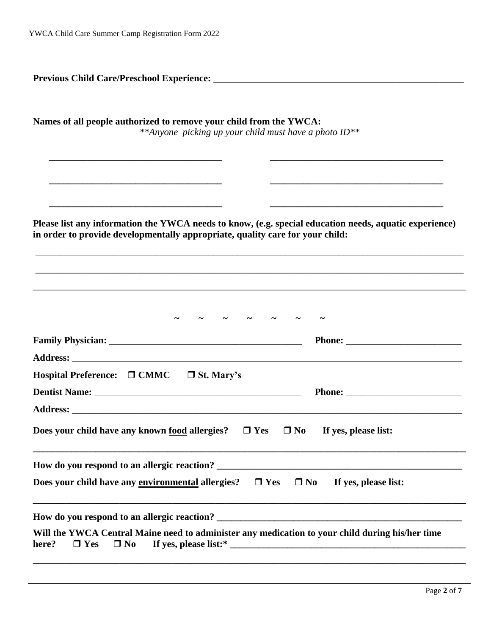| Names of all people authorized to remove your child from the YWCA:<br>**Anyone picking up your child must have a photo ID**                                                             |                                                                                                                       |  |
|-----------------------------------------------------------------------------------------------------------------------------------------------------------------------------------------|-----------------------------------------------------------------------------------------------------------------------|--|
|                                                                                                                                                                                         | <u> 1989 - Johann John Stoff, deutscher Stoffen und der Stoffen und der Stoffen und der Stoffen und der Stoffen u</u> |  |
| Please list any information the YWCA needs to know, (e.g. special education needs, aquatic experience)<br>in order to provide developmentally appropriate, quality care for your child: |                                                                                                                       |  |
|                                                                                                                                                                                         |                                                                                                                       |  |
|                                                                                                                                                                                         |                                                                                                                       |  |
| Hospital Preference: $\Box$ CMMC $\Box$ St. Mary's                                                                                                                                      |                                                                                                                       |  |
|                                                                                                                                                                                         |                                                                                                                       |  |
| Does your child have any known food allergies?<br>$\Box$ Yes                                                                                                                            | $\Box$ No<br>If yes, please list:                                                                                     |  |
| How do you respond to an allergic reaction?                                                                                                                                             | <u> 1989 - Johann Barbara, martxa alemaniar arg</u>                                                                   |  |
| Does your child have any environmental allergies?<br>$\Box$ Yes                                                                                                                         | $\square$ No<br>If yes, please list:                                                                                  |  |
|                                                                                                                                                                                         |                                                                                                                       |  |
| Will the YWCA Central Maine need to administer any medication to your child during his/her time<br>$\Box$ No<br>here?<br>$\Box$ Yes                                                     |                                                                                                                       |  |
|                                                                                                                                                                                         |                                                                                                                       |  |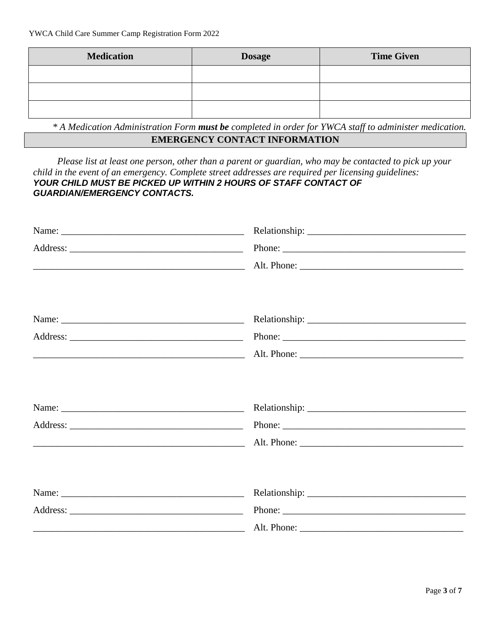| <b>Medication</b> | <b>Dosage</b> | <b>Time Given</b> |
|-------------------|---------------|-------------------|
|                   |               |                   |
|                   |               |                   |
|                   |               |                   |

*\* A Medication Administration Form must be completed in order for YWCA staff to administer medication.* **EMERGENCY CONTACT INFORMATION**

 *Please list at least one person, other than a parent or guardian, who may be contacted to pick up your child in the event of an emergency. Complete street addresses are required per licensing guidelines: YOUR CHILD MUST BE PICKED UP WITHIN 2 HOURS OF STAFF CONTACT OF GUARDIAN/EMERGENCY CONTACTS.*

| Phone: |  |
|--------|--|
|        |  |
|        |  |
|        |  |
|        |  |
|        |  |
|        |  |
|        |  |
|        |  |
|        |  |
|        |  |
|        |  |
|        |  |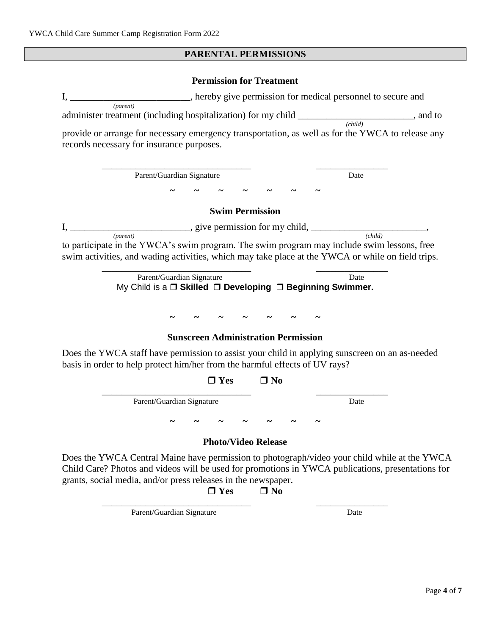# **PARENTAL PERMISSIONS**

## **Permission for Treatment**

|                                                                             |                                                                                        |                            | hereby give permission for medical personnel to secure and                                                                                                                                        |  |
|-----------------------------------------------------------------------------|----------------------------------------------------------------------------------------|----------------------------|---------------------------------------------------------------------------------------------------------------------------------------------------------------------------------------------------|--|
| (parent)                                                                    |                                                                                        |                            | administer treatment (including hospitalization) for my child _______________________, and to                                                                                                     |  |
| records necessary for insurance purposes.                                   |                                                                                        |                            | $\overline{(child)}$<br>provide or arrange for necessary emergency transportation, as well as for the YWCA to release any                                                                         |  |
|                                                                             | Parent/Guardian Signature                                                              |                            | Date                                                                                                                                                                                              |  |
|                                                                             |                                                                                        |                            |                                                                                                                                                                                                   |  |
|                                                                             |                                                                                        | <b>Swim Permission</b>     |                                                                                                                                                                                                   |  |
|                                                                             |                                                                                        |                            | $I, \underline{\hspace{1cm}}$ , give permission for my child, $\underline{\hspace{1cm}}$ , (child)                                                                                                |  |
|                                                                             |                                                                                        |                            | to participate in the YWCA's swim program. The swim program may include swim lessons, free<br>swim activities, and wading activities, which may take place at the YWCA or while on field trips.   |  |
|                                                                             | Parent/Guardian Signature<br>My Child is a □ Skilled □ Developing □ Beginning Swimmer. |                            | Date                                                                                                                                                                                              |  |
|                                                                             |                                                                                        |                            |                                                                                                                                                                                                   |  |
|                                                                             | <b>Sunscreen Administration Permission</b>                                             |                            |                                                                                                                                                                                                   |  |
| basis in order to help protect him/her from the harmful effects of UV rays? |                                                                                        |                            | Does the YWCA staff have permission to assist your child in applying sunscreen on an as-needed                                                                                                    |  |
|                                                                             | $\Box$ Yes                                                                             | $\square$ No               |                                                                                                                                                                                                   |  |
|                                                                             | Parent/Guardian Signature                                                              |                            | Date                                                                                                                                                                                              |  |
|                                                                             |                                                                                        |                            |                                                                                                                                                                                                   |  |
|                                                                             |                                                                                        | <b>Photo/Video Release</b> |                                                                                                                                                                                                   |  |
| grants, social media, and/or press releases in the newspaper.               | $\Box$ Yes                                                                             | $\Box$ No                  | Does the YWCA Central Maine have permission to photograph/video your child while at the YWCA<br>Child Care? Photos and videos will be used for promotions in YWCA publications, presentations for |  |
|                                                                             | Parent/Guardian Signature                                                              |                            | Date                                                                                                                                                                                              |  |

Page **4** of **7**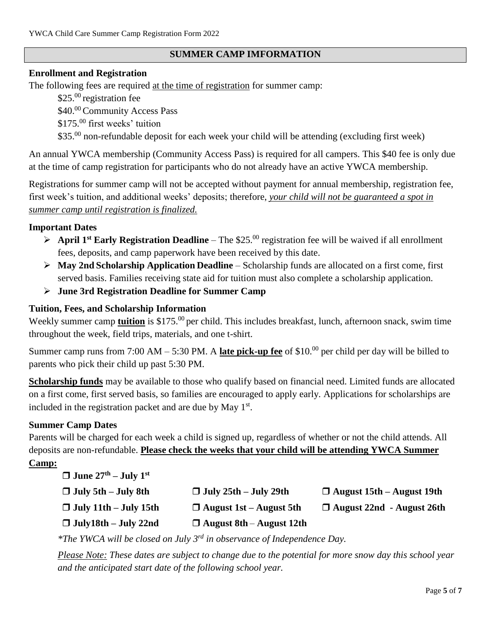### **SUMMER CAMP IMFORMATION**

#### **Enrollment and Registration**

The following fees are required at the time of registration for summer camp:

\$25.00 registration fee

\$40.00 Community Access Pass

\$175.<sup>00</sup> first weeks' tuition

\$35.00 non-refundable deposit for each week your child will be attending (excluding first week)

An annual YWCA membership (Community Access Pass) is required for all campers. This \$40 fee is only due at the time of camp registration for participants who do not already have an active YWCA membership.

Registrations for summer camp will not be accepted without payment for annual membership, registration fee, first week's tuition, and additional weeks' deposits; therefore, *your child will not be guaranteed a spot in summer camp until registration is finalized.* 

#### **Important Dates**

- $\triangleright$  **April 1<sup>st</sup> Early Registration Deadline** The \$25.<sup>00</sup> registration fee will be waived if all enrollment fees, deposits, and camp paperwork have been received by this date.
- **May 2nd Scholarship Application Deadline** Scholarship funds are allocated on a first come, first served basis. Families receiving state aid for tuition must also complete a scholarship application.
- **June 3rd Registration Deadline for Summer Camp**

#### **Tuition, Fees, and Scholarship Information**

Weekly summer camp **tuition** is \$175.<sup>00</sup> per child. This includes breakfast, lunch, afternoon snack, swim time throughout the week, field trips, materials, and one t-shirt.

Summer camp runs from 7:00 AM – 5:30 PM. A **late pick-up fee** of \$10.<sup>00</sup> per child per day will be billed to parents who pick their child up past 5:30 PM.

**Scholarship funds** may be available to those who qualify based on financial need. Limited funds are allocated on a first come, first served basis, so families are encouraged to apply early. Applications for scholarships are included in the registration packet and are due by May  $1<sup>st</sup>$ .

#### **Summer Camp Dates**

Parents will be charged for each week a child is signed up, regardless of whether or not the child attends. All deposits are non-refundable. **Please check the weeks that your child will be attending YWCA Summer** 

## **Camp:**

- $\Box$  **June 27<sup>th</sup> <b>July 1**<sup>st</sup>
- 
- 
- 

 $\Box$  **July 5th**  $\rightarrow$  **July 25th**  $\rightarrow$  **July 25th**  $\rightarrow$  **D** August 15th  $\rightarrow$  August 19th

- **July 11th – July 15th August 1st – August 5th August 22nd - August 26th**
- **July18th – July 22nd August 8th August 12th**

*\*The YWCA will be closed on July 3rd in observance of Independence Day.*

*Please Note: These dates are subject to change due to the potential for more snow day this school year and the anticipated start date of the following school year.*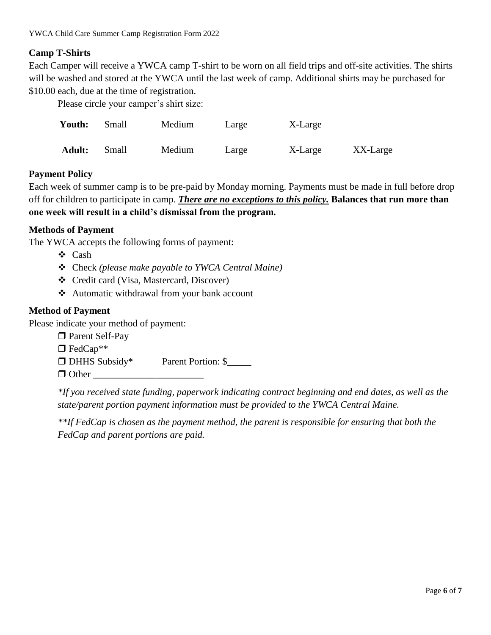### **Camp T-Shirts**

Each Camper will receive a YWCA camp T-shirt to be worn on all field trips and off-site activities. The shirts will be washed and stored at the YWCA until the last week of camp. Additional shirts may be purchased for \$10.00 each, due at the time of registration.

Please circle your camper's shirt size:

| Youth:        | Small | Medium | Large | X-Large |          |
|---------------|-------|--------|-------|---------|----------|
| <b>Adult:</b> | Small | Medium | Large | X-Large | XX-Large |

### **Payment Policy**

Each week of summer camp is to be pre-paid by Monday morning. Payments must be made in full before drop off for children to participate in camp. *There are no exceptions to this policy.* **Balances that run more than one week will result in a child's dismissal from the program.** 

### **Methods of Payment**

The YWCA accepts the following forms of payment:

- Cash
- Check *(please make payable to YWCA Central Maine)*
- Credit card (Visa, Mastercard, Discover)
- Automatic withdrawal from your bank account

### **Method of Payment**

Please indicate your method of payment:

□ Parent Self-Pay  $\Box$  FedCap<sup>\*\*</sup> DHHS Subsidy\* Parent Portion: \$  $\Box$  Other

*\*If you received state funding, paperwork indicating contract beginning and end dates, as well as the state/parent portion payment information must be provided to the YWCA Central Maine.*

*\*\*If FedCap is chosen as the payment method, the parent is responsible for ensuring that both the FedCap and parent portions are paid.*